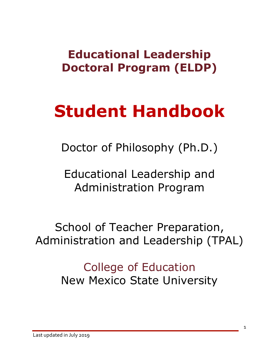# **Educational Leadership Doctoral Program (ELDP)**

# **Student Handbook**

Doctor of Philosophy (Ph.D.)

Educational Leadership and Administration Program

School of Teacher Preparation, Administration and Leadership (TPAL)

> College of Education New Mexico State University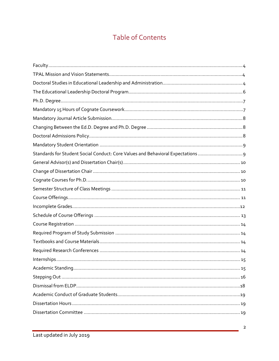# **Table of Contents**

| Standards for Student Social Conduct: Core Values and Behavioral Expectations |  |
|-------------------------------------------------------------------------------|--|
|                                                                               |  |
|                                                                               |  |
|                                                                               |  |
|                                                                               |  |
|                                                                               |  |
|                                                                               |  |
|                                                                               |  |
|                                                                               |  |
|                                                                               |  |
|                                                                               |  |
|                                                                               |  |
|                                                                               |  |
|                                                                               |  |
|                                                                               |  |
|                                                                               |  |
|                                                                               |  |
|                                                                               |  |
|                                                                               |  |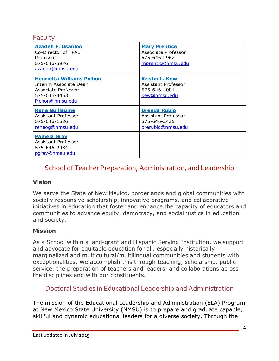Faculty

| <b>Azadeh F. Osanloo</b><br>Co-Director of TPAL<br>Professor<br>575-646-5976<br>azadeh@nmsu.edu                      | <b>Mary Prentice</b><br>Associate Professor<br>575-646-2962<br>mprentic@nmsu.edu |  |  |  |  |
|----------------------------------------------------------------------------------------------------------------------|----------------------------------------------------------------------------------|--|--|--|--|
| <b>Henrietta Williams Pichon</b><br>Interim Associate Dean<br>Associate Professor<br>575-646-3453<br>Pichon@nmsu.edu | <b>Kristin L. Kew</b><br>Assistant Professor<br>575-646-4081<br>kew@nmsu.edu     |  |  |  |  |
| <b>Rene Guillaume</b><br>Assistant Professor<br>575-646-1536<br>reneog@nmsu.edu                                      | <b>Brenda Rubio</b><br>Assistant Professor<br>575-646-2435<br>brerubio@nmsu.edu  |  |  |  |  |
| <b>Pamela Gray</b><br>Assistant Professor<br>575-646-2434<br>pgray@nmsu.edu                                          |                                                                                  |  |  |  |  |

# School of Teacher Preparation, Administration, and Leadership

#### **Vision**

We serve the State of New Mexico, borderlands and global communities with socially responsive scholarship, innovative programs, and collaborative initiatives in education that foster and enhance the capacity of educators and communities to advance equity, democracy, and social justice in education and society.

#### **Mission**

As a School within a land-grant and Hispanic Serving Institution, we support and advocate for equitable education for all, especially historically marginalized and multicultural/multilingual communities and students with exceptionalities. We accomplish this through teaching, scholarship, public service, the preparation of teachers and leaders, and collaborations across the disciplines and with our constituents.

# Doctoral Studies in Educational Leadership and Administration

The mission of the Educational Leadership and Administration (ELA) Program at New Mexico State University (NMSU) is to prepare and graduate capable, skillful and dynamic educational leaders for a diverse society. Through the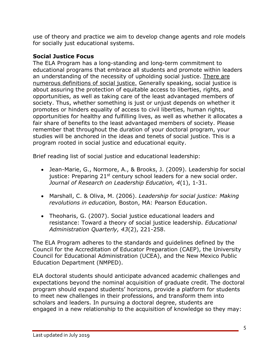use of theory and practice we aim to develop change agents and role models for socially just educational systems.

# **Social Justice Focus**

The ELA Program has a long-standing and long-term commitment to educational programs that embrace all students and promote within leaders an understanding of the necessity of upholding social justice. There are numerous definitions of social justice. Generally speaking, social justice is about assuring the protection of equitable access to liberties, rights, and opportunities, as well as taking care of the least advantaged members of society. Thus, whether something is just or unjust depends on whether it promotes or hinders equality of access to civil liberties, human rights, opportunities for healthy and fulfilling lives, as well as whether it allocates a fair share of benefits to the least advantaged members of society. Please remember that throughout the duration of your doctoral program, your studies will be anchored in the ideas and tenets of social justice. This is a program rooted in social justice and educational equity.

Brief reading list of social justice and educational leadership:

- Jean-Marie, G., Normore, A., & Brooks, J. (2009). Leadership for social justice: Preparing  $21^{st}$  century school leaders for a new social order. *Journal of Research on Leadership Education, 4*(1), 1-31.
- Marshall, C. & Oliva, M. (2006). *Leadership for social justice: Making revolutions in education,* Boston, MA: Pearson Education.
- Theoharis, G. (2007). Social justice educational leaders and resistance: Toward a theory of social justice leadership. *Educational Administration Quarterly, 43*(2), 221-258.

The ELA Program adheres to the standards and guidelines defined by the Council for the Accreditation of Educator Preparation (CAEP), the University Council for Educational Administration (UCEA), and the New Mexico Public Education Department (NMPED).

ELA doctoral students should anticipate advanced academic challenges and expectations beyond the nominal acquisition of graduate credit. The doctoral program should expand students' horizons, provide a platform for students to meet new challenges in their professions, and transform them into scholars and leaders. In pursuing a doctoral degree, students are engaged in a new relationship to the acquisition of knowledge so they may: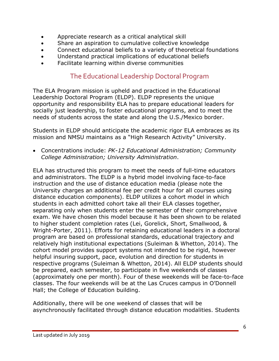- Appreciate research as a critical analytical skill
- Share an aspiration to cumulative collective knowledge
- Connect educational beliefs to a variety of theoretical foundations
- Understand practical implications of educational beliefs
- Facilitate learning within diverse communities

# The Educational Leadership Doctoral Program

The ELA Program mission is upheld and practiced in the Educational Leadership Doctoral Program (ELDP). ELDP represents the unique opportunity and responsibility ELA has to prepare educational leaders for socially just leadership, to foster educational programs, and to meet the needs of students across the state and along the U.S./Mexico border.

Students in ELDP should anticipate the academic rigor ELA embraces as its mission and NMSU maintains as a "High Research Activity" University.

• Concentrations include: *PK-12 Educational Administration; Community College Administration; University Administration*.

ELA has structured this program to meet the needs of full-time educators and administrators. The ELDP is a hybrid model involving face-to-face instruction and the use of distance education media (please note the University charges an additional fee per credit hour for all courses using distance education components). ELDP utilizes a cohort model in which students in each admitted cohort take all their ELA classes together, separating only when students enter the semester of their comprehensive exam. We have chosen this model because it has been shown to be related to higher student completion rates (Lei, Gorelick, Short, Smallwood, & Wright-Porter, 2011). Efforts for retaining educational leaders in a doctoral program are based on professional standards, educational trajectory and relatively high institutional expectations (Suleiman & Whetton, 2014). The cohort model provides support systems not intended to be rigid, however helpful insuring support, pace, evolution and direction for students in respective programs (Suleiman & Whetton, 2014). All ELDP students should be prepared, each semester, to participate in five weekends of classes (approximately one per month). Four of these weekends will be face-to-face classes. The four weekends will be at the Las Cruces campus in O'Donnell Hall; the College of Education building.

Additionally, there will be one weekend of classes that will be asynchronously facilitated through distance education modalities. Students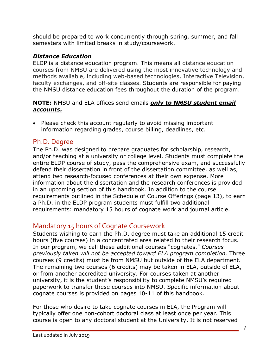should be prepared to work concurrently through spring, summer, and fall semesters with limited breaks in study/coursework.

# *Distance Education*

ELDP is a distance education program. This means all distance education courses from NMSU are delivered using the most innovative technology and methods available, including web-based technologies, Interactive Television, faculty exchanges, and off-site classes. Students are responsible for paying the NMSU distance education fees throughout the duration of the program.

#### **NOTE:** NMSU and ELA offices send emails *only to NMSU student email accounts.*

• Please check this account regularly to avoid missing important information regarding grades, course billing, deadlines, etc.

# Ph.D. Degree

The Ph.D. was designed to prepare graduates for scholarship, research, and/or teaching at a university or college level. Students must complete the entire ELDP course of study, pass the comprehensive exam, and successfully defend their dissertation in front of the dissertation committee, as well as, attend two research-focused conferences at their own expense. More information about the dissertation and the research conferences is provided in an upcoming section of this handbook. In addition to the course requirements outlined in the Schedule of Course Offerings (page 13), to earn a Ph.D. in the ELDP program students must fulfill two additional requirements: mandatory 15 hours of cognate work and journal article.

# Mandatory 15 hours of Cognate Coursework

Students wishing to earn the Ph.D. degree must take an additional 15 credit hours (five courses) in a concentrated area related to their research focus. In our program, we call these additional courses "cognates." *Courses previously taken will not be accepted toward ELA program completion*. Three courses (9 credits) must be from NMSU but outside of the ELA department. The remaining two courses (6 credits) may be taken in ELA, outside of ELA, or from another accredited university. For courses taken at another university, it is the student's responsibility to complete NMSU's required paperwork to transfer these courses into NMSU. Specific information about cognate courses is provided on pages 10-11 of this handbook.

For those who desire to take cognate courses in ELA, the Program will typically offer one non-cohort doctoral class at least once per year. This course is open to any doctoral student at the University. It is not reserved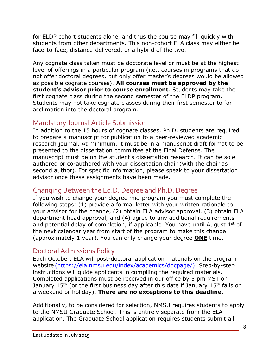for ELDP cohort students alone, and thus the course may fill quickly with students from other departments. This non-cohort ELA class may either be face-to-face, distance-delivered, or a hybrid of the two.

Any cognate class taken must be doctorate level or must be at the highest level of offerings in a particular program (i.e., courses in programs that do not offer doctoral degrees, but only offer master's degrees would be allowed as possible cognate courses). **All courses must be approved by the student's advisor prior to course enrollment**. Students may take the first cognate class during the second semester of the ELDP program. Students may not take cognate classes during their first semester to for acclimation into the doctoral program.

# Mandatory Journal Article Submission

In addition to the 15 hours of cognate classes, Ph.D. students are required to prepare a manuscript for publication to a peer-reviewed academic research journal. At minimum, it must be in a manuscript draft format to be presented to the dissertation committee at the Final Defense. The manuscript must be on the student's dissertation research. It can be sole authored or co-authored with your dissertation chair (with the chair as second author). For specific information, please speak to your dissertation advisor once these assignments have been made.

# Changing Between the Ed.D. Degree and Ph.D. Degree

If you wish to change your degree mid-program you must complete the following steps: (1) provide a formal letter with your written rationale to your advisor for the change, (2) obtain ELA advisor approval, (3) obtain ELA department head approval, and (4) agree to any additional requirements and potential delay of completion, if applicable. You have until August  $1<sup>st</sup>$  of the next calendar year from start of the program to make this change (approximately 1 year). You can only change your degree **ONE** time.

# Doctoral Admissions Policy

Each October, ELA will post-doctoral application materials on the program website (https://ela.nmsu.edu/index/academics/docpage/). Step-by-step instructions will guide applicants in compiling the required materials. Completed applications must be received in our office by 5 pm MST on January  $15<sup>th</sup>$  (or the first business day after this date if January  $15<sup>th</sup>$  falls on a weekend or holiday). **There are no exceptions to this deadline.**

Additionally, to be considered for selection, NMSU requires students to apply to the NMSU Graduate School. This is entirely separate from the ELA application. The Graduate School application requires students submit all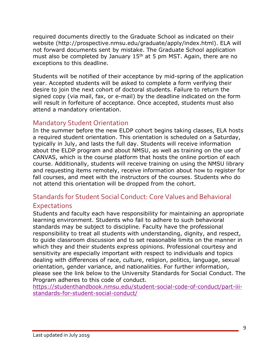required documents directly to the Graduate School as indicated on their website (http://prospective.nmsu.edu/graduate/apply/index.html). ELA will not forward documents sent by mistake. The Graduate School application must also be completed by January  $15<sup>th</sup>$  at 5 pm MST. Again, there are no exceptions to this deadline.

Students will be notified of their acceptance by mid-spring of the application year. Accepted students will be asked to complete a form verifying their desire to join the next cohort of doctoral students. Failure to return the signed copy (via mail, fax, or e-mail) by the deadline indicated on the form will result in forfeiture of acceptance. Once accepted, students must also attend a mandatory orientation.

# Mandatory Student Orientation

In the summer before the new ELDP cohort begins taking classes, ELA hosts a required student orientation. This orientation is scheduled on a Saturday, typically in July, and lasts the full day. Students will receive information about the ELDP program and about NMSU, as well as training on the use of CANVAS, which is the course platform that hosts the online portion of each course. Additionally, students will receive training on using the NMSU library and requesting items remotely, receive information about how to register for fall courses, and meet with the instructors of the courses. Students who do not attend this orientation will be dropped from the cohort.

# Standards for Student Social Conduct: Core Values and Behavioral

# **Expectations**

Students and faculty each have responsibility for maintaining an appropriate learning environment. Students who fail to adhere to such behavioral standards may be subject to discipline. Faculty have the professional responsibility to treat all students with understanding, dignity, and respect, to guide classroom discussion and to set reasonable limits on the manner in which they and their students express opinions. Professional courtesy and sensitivity are especially important with respect to individuals and topics dealing with differences of race, culture, religion, politics, language, sexual orientation, gender variance, and nationalities. For further information, please see the link below to the University Standards for Social Conduct. The Program adheres to this code of conduct.

https://studenthandbook.nmsu.edu/student-social-code-of-conduct/part-iiistandards-for-student-social-conduct/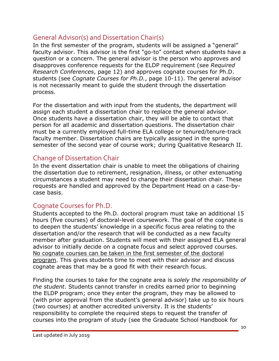# General Advisor(s) and Dissertation Chair(s)

In the first semester of the program, students will be assigned a "general" faculty advisor. This advisor is the first "go-to" contact when students have a question or a concern. The general advisor is the person who approves and disapproves conference requests for the ELDP requirement (see *Required Research Conferences*, page 12) and approves cognate courses for Ph.D. students (see *Cognate Courses for Ph.D.*, page 10-11). The general advisor is not necessarily meant to guide the student through the dissertation process.

For the dissertation and with input from the students, the department will assign each student a dissertation chair to replace the general advisor. Once students have a dissertation chair, they will be able to contact that person for all academic and dissertation questions. The dissertation chair must be a currently employed full-time ELA college or tenured/tenure-track faculty member. Dissertation chairs are typically assigned in the spring semester of the second year of course work; during Qualitative Research II.

# Change of Dissertation Chair

In the event dissertation chair is unable to meet the obligations of chairing the dissertation due to retirement, resignation, illness, or other extenuating circumstances a student may need to change their dissertation chair. These requests are handled and approved by the Department Head on a case-bycase basis.

# Cognate Courses for Ph.D.

Students accepted to the Ph.D. doctoral program must take an additional 15 hours (five courses) of doctoral-level coursework. The goal of the cognate is to deepen the students' knowledge in a specific focus area relating to the dissertation and/or the research that will be conducted as a new faculty member after graduation. Students will meet with their assigned ELA general advisor to initially decide on a cognate focus and select approved courses. No cognate courses can be taken in the first semester of the doctoral program. This gives students time to meet with their advisor and discuss cognate areas that may be a good fit with their research focus.

Finding the courses to take for the cognate area is *solely the responsibility of the student*. Students cannot transfer in credits earned prior to beginning the ELDP program; once they enter the program, they may be allowed to (with prior approval from the student's general advisor) take up to six hours (two courses) at another accredited university. It is the students' responsibility to complete the required steps to request the transfer of courses into the program of study (see the Graduate School Handbook for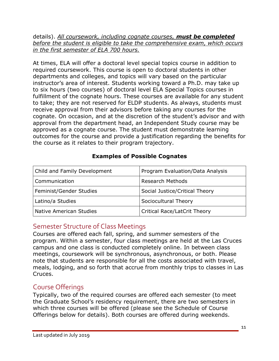#### details). *All coursework, including cognate courses, must be completed before the student is eligible to take the comprehensive exam, which occurs in the first semester of ELA 700 hours.*

At times, ELA will offer a doctoral level special topics course in addition to required coursework. This course is open to doctoral students in other departments and colleges, and topics will vary based on the particular instructor's area of interest. Students working toward a Ph.D. may take up to six hours (two courses) of doctoral level ELA Special Topics courses in fulfillment of the cognate hours. These courses are available for any student to take; they are not reserved for ELDP students. As always, students must receive approval from their advisors before taking any courses for the cognate. On occasion, and at the discretion of the student's advisor and with approval from the department head, an Independent Study course may be approved as a cognate course. The student must demonstrate learning outcomes for the course and provide a justification regarding the benefits for the course as it relates to their program trajectory.

# **Examples of Possible Cognates**

| Child and Family Development   | Program Evaluation/Data Analysis |  |  |  |  |
|--------------------------------|----------------------------------|--|--|--|--|
| Communication                  | <b>Research Methods</b>          |  |  |  |  |
| Feminist/Gender Studies        | Social Justice/Critical Theory   |  |  |  |  |
| Latino/a Studies               | Sociocultural Theory             |  |  |  |  |
| <b>Native American Studies</b> | Critical Race/LatCrit Theory     |  |  |  |  |

# Semester Structure of Class Meetings

Courses are offered each fall, spring, and summer semesters of the program. Within a semester, four class meetings are held at the Las Cruces campus and one class is conducted completely online. In between class meetings, coursework will be synchronous, asynchronous, or both. Please note that students are responsible for all the costs associated with travel, meals, lodging, and so forth that accrue from monthly trips to classes in Las Cruces.

# Course Offerings

Typically, two of the required courses are offered each semester (to meet the Graduate School's residency requirement, there are two semesters in which three courses will be offered (please see the Schedule of Course Offerings below for details). Both courses are offered during weekends.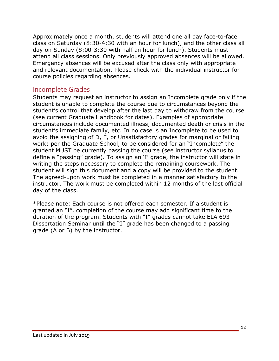Approximately once a month, students will attend one all day face-to-face class on Saturday (8:30-4:30 with an hour for lunch), and the other class all day on Sunday (8:00-3:30 with half an hour for lunch). Students must attend all class sessions. Only previously approved absences will be allowed. Emergency absences will be excused after the class only with appropriate and relevant documentation. Please check with the individual instructor for course policies regarding absences.

# Incomplete Grades

Students may request an instructor to assign an Incomplete grade only if the student is unable to complete the course due to circumstances beyond the student's control that develop after the last day to withdraw from the course (see current Graduate Handbook for dates). Examples of appropriate circumstances include documented illness, documented death or crisis in the student's immediate family, etc. In no case is an Incomplete to be used to avoid the assigning of D, F, or Unsatisfactory grades for marginal or failing work; per the Graduate School, to be considered for an "Incomplete" the student MUST be currently passing the course (see instructor syllabus to define a "passing" grade). To assign an 'I' grade, the instructor will state in writing the steps necessary to complete the remaining coursework. The student will sign this document and a copy will be provided to the student. The agreed-upon work must be completed in a manner satisfactory to the instructor. The work must be completed within 12 months of the last official day of the class.

\*Please note: Each course is not offered each semester. If a student is granted an "I", completion of the course may add significant time to the duration of the program. Students with "I" grades cannot take ELA 693 Dissertation Seminar until the "I" grade has been changed to a passing grade (A or B) by the instructor.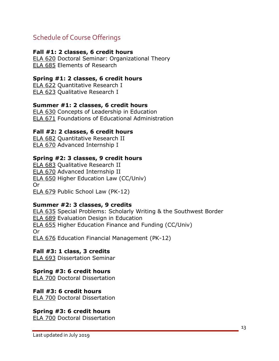# Schedule of Course Offerings

#### **Fall #1: 2 classes, 6 credit hours**

ELA 620 Doctoral Seminar: Organizational Theory ELA 685 Elements of Research

#### **Spring #1: 2 classes, 6 credit hours**

ELA 622 Quantitative Research I ELA 623 Qualitative Research I

#### **Summer #1: 2 classes, 6 credit hours**

ELA 630 Concepts of Leadership in Education ELA 671 Foundations of Educational Administration

#### **Fall #2: 2 classes, 6 credit hours**

ELA 682 Quantitative Research II ELA 670 Advanced Internship I

#### **Spring #2: 3 classes, 9 credit hours**

ELA 683 Qualitative Research II ELA 670 Advanced Internship II ELA 650 Higher Education Law (CC/Univ) Or ELA 679 Public School Law (PK-12)

#### **Summer #2: 3 classes, 9 credits**

ELA 635 Special Problems: Scholarly Writing & the Southwest Border ELA 689 Evaluation Design in Education ELA 655 Higher Education Finance and Funding (CC/Univ) Or ELA 676 Education Financial Management (PK-12)

#### **Fall #3: 1 class, 3 credits**

ELA 693 Dissertation Seminar

#### **Spring #3: 6 credit hours**

ELA 700 Doctoral Dissertation

#### **Fall #3: 6 credit hours**

ELA 700 Doctoral Dissertation

#### **Spring #3: 6 credit hours**

ELA 700 Doctoral Dissertation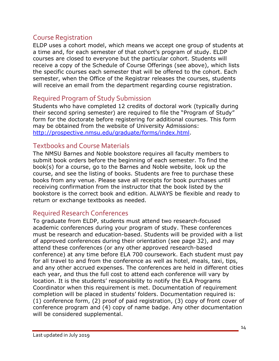# Course Registration

ELDP uses a cohort model, which means we accept one group of students at a time and, for each semester of that cohort's program of study. ELDP courses are closed to everyone but the particular cohort. Students will receive a copy of the Schedule of Course Offerings (see above), which lists the specific courses each semester that will be offered to the cohort. Each semester, when the Office of the Registrar releases the courses, students will receive an email from the department regarding course registration.

# Required Program of Study Submission

Students who have completed 12 credits of doctoral work (typically during their second spring semester) are required to file the "Program of Study" form for the doctorate before registering for additional courses. This form may be obtained from the website of University Admissions: http://prospective.nmsu.edu/graduate/forms/index.html.

# Textbooks and Course Materials

The NMSU Barnes and Noble bookstore requires all faculty members to submit book orders before the beginning of each semester. To find the book(s) for a course, go to the Barnes and Noble website, look up the course, and see the listing of books. Students are free to purchase these books from any venue. Please save all receipts for book purchases until receiving confirmation from the instructor that the book listed by the bookstore is the correct book and edition. ALWAYS be flexible and ready to return or exchange textbooks as needed.

# Required Research Conferences

To graduate from ELDP, students must attend two research-focused academic conferences during your program of study. These conferences must be research and education-based. Students will be provided with a list of approved conferences during their orientation (see page 32), and may attend these conferences (or any other approved research-based conference) at any time before ELA 700 coursework. Each student must pay for all travel to and from the conference as well as hotel, meals, taxi, tips, and any other accrued expenses. The conferences are held in different cities each year, and thus the full cost to attend each conference will vary by location. It is the students' responsibility to notify the ELA Programs Coordinator when this requirement is met. Documentation of requirement completion will be placed in students' folders. Documentation required is: (1) conference form, (2) proof of paid registration, (3) copy of front cover of conference program and (4) copy of name badge. Any other documentation will be considered supplemental.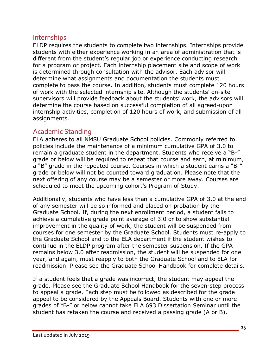# Internships

ELDP requires the students to complete two internships. Internships provide students with either experience working in an area of administration that is different from the student's regular job or experience conducting research for a program or project. Each internship placement site and scope of work is determined through consultation with the advisor. Each advisor will determine what assignments and documentation the students must complete to pass the course. In addition, students must complete 120 hours of work with the selected internship site. Although the students' on-site supervisors will provide feedback about the students' work, the advisors will determine the course based on successful completion of all agreed-upon internship activities, completion of 120 hours of work, and submission of all assignments.

# Academic Standing

ELA adheres to all NMSU Graduate School policies. Commonly referred to policies include the maintenance of a minimum cumulative GPA of 3.0 to remain a graduate student in the department. Students who receive a "B-" grade or below will be required to repeat that course and earn, at minimum, a "B" grade in the repeated course. Courses in which a student earns a "B-" grade or below will not be counted toward graduation. Please note that the next offering of any course may be a semester or more away. Courses are scheduled to meet the upcoming cohort's Program of Study.

Additionally, students who have less than a cumulative GPA of 3.0 at the end of any semester will be so informed and placed on probation by the Graduate School. If, during the next enrollment period, a student fails to achieve a cumulative grade point average of 3.0 or to show substantial improvement in the quality of work, the student will be suspended from courses for one semester by the Graduate School. Students must re-apply to the Graduate School and to the ELA department if the student wishes to continue in the ELDP program after the semester suspension. If the GPA remains below 3.0 after readmission, the student will be suspended for one year, and again, must reapply to both the Graduate School and to ELA for readmission. Please see the Graduate School Handbook for complete details.

If a student feels that a grade was incorrect, the student may appeal the grade. Please see the Graduate School Handbook for the seven-step process to appeal a grade. Each step must be followed as described for the grade appeal to be considered by the Appeals Board. Students with one or more grades of "B-" or below cannot take ELA 693 Dissertation Seminar until the student has retaken the course and received a passing grade (A or B).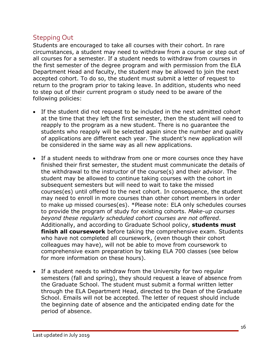# Stepping Out

Students are encouraged to take all courses with their cohort. In rare circumstances, a student may need to withdraw from a course or step out of all courses for a semester. If a student needs to withdraw from courses in the first semester of the degree program and with permission from the ELA Department Head and faculty, the student may be allowed to join the next accepted cohort. To do so, the student must submit a letter of request to return to the program prior to taking leave. In addition, students who need to step out of their current program o study need to be aware of the following policies:

- If the student did not request to be included in the next admitted cohort at the time that they left the first semester, then the student will need to reapply to the program as a new student. There is no guarantee the students who reapply will be selected again since the number and quality of applications are different each year. The student's new application will be considered in the same way as all new applications.
- If a student needs to withdraw from one or more courses once they have finished their first semester, the student must communicate the details of the withdrawal to the instructor of the course(s) and their advisor. The student may be allowed to continue taking courses with the cohort in subsequent semesters but will need to wait to take the missed courses(es) until offered to the next cohort. In consequence, the student may need to enroll in more courses than other cohort members in order to make up missed courses(es). \*Please note: ELA only schedules courses to provide the program of study for existing cohorts. *Make-up courses beyond these regularly scheduled cohort courses are not offered*. Additionally, and according to Graduate School policy, **students must finish all coursework** before taking the comprehensive exam. Students who have not completed all coursework, (even though their cohort colleagues may have), will not be able to move from coursework to comprehensive exam preparation by taking ELA 700 classes (see below for more information on these hours).
- If a student needs to withdraw from the University for two regular semesters (fall and spring), they should request a leave of absence from the Graduate School. The student must submit a formal written letter through the ELA Department Head, directed to the Dean of the Graduate School. Emails will not be accepted. The letter of request should include the beginning date of absence and the anticipated ending date for the period of absence.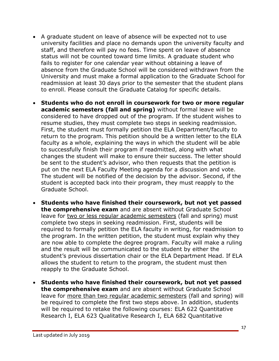- A graduate student on leave of absence will be expected not to use university facilities and place no demands upon the university faculty and staff, and therefore will pay no fees. Time spent on leave of absence status will not be counted toward time limits. A graduate student who fails to register for one calendar year without obtaining a leave of absence from the Graduate School will be considered withdrawn from the University and must make a formal application to the Graduate School for readmission at least 30 days prior to the semester that the student plans to enroll. Please consult the Graduate Catalog for specific details.
- **Students who do not enroll in coursework for two or more regular academic semesters (fall and spring)** without formal leave will be considered to have dropped out of the program. If the student wishes to resume studies, they must complete two steps in seeking readmission. First, the student must formally petition the ELA Department/faculty to return to the program. This petition should be a written letter to the ELA faculty as a whole, explaining the ways in which the student will be able to successfully finish their program if readmitted, along with what changes the student will make to ensure their success. The letter should be sent to the student's advisor, who then requests that the petition is put on the next ELA Faculty Meeting agenda for a discussion and vote. The student will be notified of the decision by the advisor. Second, if the student is accepted back into their program, they must reapply to the Graduate School.
- **Students who have finished their coursework, but not yet passed the comprehensive exam** and are absent without Graduate School leave for two or less regular academic semesters (fall and spring) must complete two steps in seeking readmission. First, students will be required to formally petition the ELA faculty in writing, for readmission to the program. In the written petition, the student must explain why they are now able to complete the degree program. Faculty will make a ruling and the result will be communicated to the student by either the student's previous dissertation chair or the ELA Department Head. If ELA allows the student to return to the program, the student must then reapply to the Graduate School.
- **Students who have finished their coursework, but not yet passed the comprehensive exam** and are absent without Graduate School leave for more than two regular academic semesters (fall and spring) will be required to complete the first two steps above. In addition, students will be required to retake the following courses: ELA 622 Ouantitative Research I, ELA 623 Qualitative Research I, ELA 682 Quantitative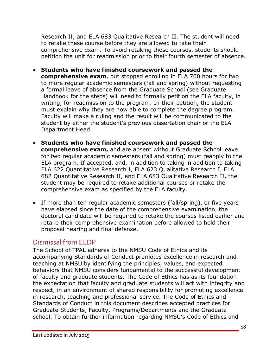Research II, and ELA 683 Qualitative Research II. The student will need to retake these course before they are allowed to take their comprehensive exam. To avoid retaking these courses, students should petition the unit for readmission prior to their fourth semester of absence.

- **Students who have finished coursework and passed the comprehensive exam**, but stopped enrolling in ELA 700 hours for two to more regular academic semesters (fall and spring) without requesting a formal leave of absence from the Graduate School (see Graduate Handbook for the steps) will need to formally petition the ELA faculty, in writing, for readmission to the program. In their petition, the student must explain why they are now able to complete the degree program. Faculty will make a ruling and the result will be communicated to the student by either the student's previous dissertation chair or the ELA Department Head.
- **Students who have finished coursework and passed the comprehensive exam,** and are absent without Graduate School leave for two regular academic semesters (fall and spring) must reapply to the ELA program. If accepted, and, in addition to taking in addition to taking ELA 622 Quantitative Research I, ELA 623 Qualitative Research I, ELA 682 Quantitative Research II, and ELA 683 Qualitative Research II, the student may be required to retake additional courses or retake the comprehensive exam as specified by the ELA faculty.
- If more than ten regular academic semesters (fall/spring), or five years have elapsed since the date of the comprehensive examination, the doctoral candidate will be required to retake the courses listed earlier and retake their comprehensive examination before allowed to hold their proposal hearing and final defense.

# Dismissal from ELDP

The School of TPAL adheres to the NMSU Code of Ethics and its accompanying Standards of Conduct promotes excellence in research and teaching at NMSU by identifying the principles, values, and expected behaviors that NMSU considers fundamental to the successful development of faculty and graduate students. The Code of Ethics has as its foundation the expectation that faculty and graduate students will act with integrity and respect, in an environment of shared responsibility for promoting excellence in research, teaching and professional service. The Code of Ethics and Standards of Conduct in this document describes accepted practices for Graduate Students, Faculty, Programs/Departments and the Graduate school. To obtain further information regarding NMSU's Code of Ethics and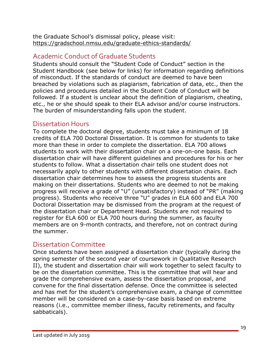the Graduate School's dismissal policy, please visit: https://gradschool.nmsu.edu/graduate-ethics-standards/

# Academic Conduct of Graduate Students

Students should consult the "Student Code of Conduct" section in the Student Handbook (see below for links) for information regarding definitions of misconduct. If the standards of conduct are deemed to have been breached by violations such as plagiarism, fabrication of data, etc., then the policies and procedures detailed in the Student Code of Conduct will be followed. If a student is unclear about the definition of plagiarism, cheating, etc., he or she should speak to their ELA advisor and/or course instructors. The burden of misunderstanding falls upon the student.

# Dissertation Hours

To complete the doctoral degree, students must take a minimum of 18 credits of ELA 700 Doctoral Dissertation. It is common for students to take more than these in order to complete the dissertation. ELA 700 allows students to work with their dissertation chair on a one-on-one basis. Each dissertation chair will have different guidelines and procedures for his or her students to follow. What a dissertation chair tells one student does not necessarily apply to other students with different dissertation chairs. Each dissertation chair determines how to assess the progress students are making on their dissertations. Students who are deemed to not be making progress will receive a grade of "U" (unsatisfactory) instead of "PR" (making progress). Students who receive three "U" grades in ELA 600 and ELA 700 Doctoral Dissertation may be dismissed from the program at the request of the dissertation chair or Department Head. Students are not required to register for ELA 600 or ELA 700 hours during the summer, as faculty members are on 9-month contracts, and therefore, not on contract during the summer.

# Dissertation Committee

Once students have been assigned a dissertation chair (typically during the spring semester of the second year of coursework in Qualitative Research II), the student and dissertation chair will work together to select faculty to be on the dissertation committee. This is the committee that will hear and grade the comprehensive exam, assess the dissertation proposal, and convene for the final dissertation defense. Once the committee is selected and has met for the student's comprehensive exam, a change of committee member will be considered on a case-by-case basis based on extreme reasons (i.e., committee member illness, faculty retirements, and faculty sabbaticals).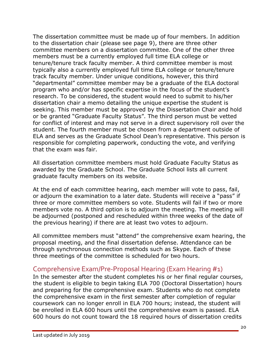The dissertation committee must be made up of four members. In addition to the dissertation chair (please see page 9), there are three other committee members on a dissertation committee. One of the other three members must be a currently employed full time ELA college or tenure/tenure track faculty member. A third committee member is most typically also a currently employed full time ELA college or tenure/tenure track faculty member. Under unique conditions, however, this third "departmental" committee member may be a graduate of the ELA doctoral program who and/or has specific expertise in the focus of the student's research. To be considered, the student would need to submit to his/her dissertation chair a memo detailing the unique expertise the student is seeking. This member must be approved by the Dissertation Chair and hold or be granted "Graduate Faculty Status". The third person must be vetted for conflict of interest and may not serve in a direct supervisory roll over the student. The fourth member must be chosen from a department outside of ELA and serves as the Graduate School Dean's representative. This person is responsible for completing paperwork, conducting the vote, and verifying that the exam was fair.

All dissertation committee members must hold Graduate Faculty Status as awarded by the Graduate School. The Graduate School lists all current graduate faculty members on its website.

At the end of each committee hearing, each member will vote to pass, fail, or adjourn the examination to a later date. Students will receive a "pass" if three or more committee members so vote. Students will fail if two or more members vote no. A third option is to adjourn the meeting. The meeting will be adjourned (postponed and rescheduled within three weeks of the date of the previous hearing) if there are at least two votes to adjourn.

All committee members must "attend" the comprehensive exam hearing, the proposal meeting, and the final dissertation defense. Attendance can be through synchronous connection methods such as Skype. Each of these three meetings of the committee is scheduled for two hours.

# Comprehensive Exam/Pre-Proposal Hearing (Exam Hearing #1)

In the semester after the student completes his or her final regular courses, the student is eligible to begin taking ELA 700 (Doctoral Dissertation) hours and preparing for the comprehensive exam. Students who do not complete the comprehensive exam in the first semester after completion of regular coursework can no longer enroll in ELA 700 hours; instead, the student will be enrolled in ELA 600 hours until the comprehensive exam is passed. ELA 600 hours do not count toward the 18 required hours of dissertation credits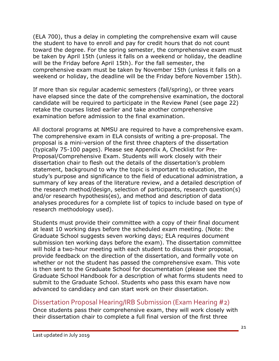(ELA 700), thus a delay in completing the comprehensive exam will cause the student to have to enroll and pay for credit hours that do not count toward the degree. For the spring semester, the comprehensive exam must be taken by April 15th (unless it falls on a weekend or holiday, the deadline will be the Friday before April 15th). For the fall semester, the comprehensive exam must be taken by November 15th (unless it falls on a weekend or holiday, the deadline will be the Friday before November 15th).

If more than six regular academic semesters (fall/spring), or three years have elapsed since the date of the comprehensive examination, the doctoral candidate will be required to participate in the Review Panel (see page 22) retake the courses listed earlier and take another comprehensive examination before admission to the final examination.

All doctoral programs at NMSU are required to have a comprehensive exam. The comprehensive exam in ELA consists of writing a pre-proposal. The proposal is a mini-version of the first three chapters of the dissertation (typically 75-100 pages). Please see Appendix A, Checklist for Pre-Proposal/Comprehensive Exam. Students will work closely with their dissertation chair to flesh out the details of the dissertation's problem statement, background to why the topic is important to education, the study's purpose and significance to the field of educational administration, a summary of key areas of the literature review, and a detailed description of the research method/design, selection of participants, research question(s) and/or research hypothesis(es), and method and description of data analyses procedures for a complete list of topics to include based on type of research methodology used).

Students must provide their committee with a copy of their final document at least 10 working days before the scheduled exam meeting. (Note: the Graduate School suggests seven working days; ELA requires document submission ten working days before the exam). The dissertation committee will hold a two-hour meeting with each student to discuss their proposal, provide feedback on the direction of the dissertation, and formally vote on whether or not the student has passed the comprehensive exam. This vote is then sent to the Graduate School for documentation (please see the Graduate School Handbook for a description of what forms students need to submit to the Graduate School. Students who pass this exam have now advanced to candidacy and can start work on their dissertation.

# Dissertation Proposal Hearing/IRB Submission (Exam Hearing #2)

Once students pass their comprehensive exam, they will work closely with their dissertation chair to complete a full final version of the first three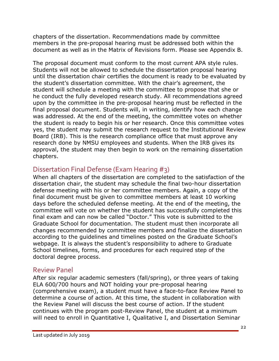chapters of the dissertation. Recommendations made by committee members in the pre-proposal hearing must be addressed both within the document as well as in the Matrix of Revisions form. Please see Appendix B.

The proposal document must conform to the most current APA style rules. Students will not be allowed to schedule the dissertation proposal hearing until the dissertation chair certifies the document is ready to be evaluated by the student's dissertation committee. With the chair's agreement, the student will schedule a meeting with the committee to propose that she or he conduct the fully developed research study. All recommendations agreed upon by the committee in the pre-proposal hearing must be reflected in the final proposal document. Students will, in writing, identify how each change was addressed. At the end of the meeting, the committee votes on whether the student is ready to begin his or her research. Once this committee votes yes, the student may submit the research request to the Institutional Review Board (IRB). This is the research compliance office that must approve any research done by NMSU employees and students. When the IRB gives its approval, the student may then begin to work on the remaining dissertation chapters.

# Dissertation Final Defense (Exam Hearing #3)

When all chapters of the dissertation are completed to the satisfaction of the dissertation chair, the student may schedule the final two-hour dissertation defense meeting with his or her committee members. Again, a copy of the final document must be given to committee members at least 10 working days before the scheduled defense meeting. At the end of the meeting, the committee will vote on whether the student has successfully completed this final exam and can now be called "Doctor." This vote is submitted to the Graduate School for documentation. The student must then incorporate all changes recommended by committee members and finalize the dissertation according to the guidelines and timelines posted on the Graduate School's webpage. It is always the student's responsibility to adhere to Graduate School timelines, forms, and procedures for each required step of the doctoral degree process.

# Review Panel

After six regular academic semesters (fall/spring), or three years of taking ELA 600/700 hours and NOT holding your pre-proposal hearing (comprehensive exam), a student must have a face-to-face Review Panel to determine a course of action. At this time, the student in collaboration with the Review Panel will discuss the best course of action. If the student continues with the program post-Review Panel, the student at a minimum will need to enroll in Quantitative I, Qualitative I, and Dissertation Seminar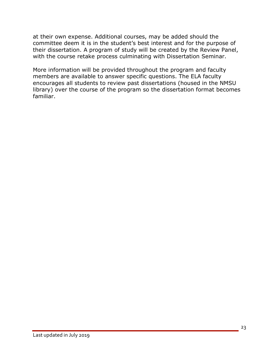at their own expense. Additional courses, may be added should the committee deem it is in the student's best interest and for the purpose of their dissertation. A program of study will be created by the Review Panel, with the course retake process culminating with Dissertation Seminar.

More information will be provided throughout the program and faculty members are available to answer specific questions. The ELA faculty encourages all students to review past dissertations (housed in the NMSU library) over the course of the program so the dissertation format becomes familiar.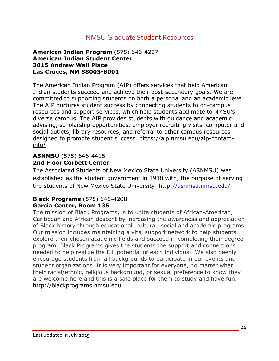# NMSU Graduate Student Resources

#### **American Indian Program** (575) 646-4207 **American Indian Student Center 3015 Andrew Wall Place Las Cruces, NM 88003-8001**

The American Indian Program (AIP) offers services that help American Indian students succeed and achieve their post-secondary goals. We are committed to supporting students on both a personal and an academic level. The AIP nurtures student success by connecting students to on-campus resources and support services, which help students acclimate to NMSU's diverse campus. The AIP provides students with guidance and academic advising, scholarship opportunities, employer recruiting visits, computer and social outlets, library resources, and referral to other campus resources designed to promote student success. https://aip.nmsu.edu/aip-contactinfo/

#### **ASNMSU** (575) 646-4415 **2nd Floor Corbett Center**

The Associated Students of New Mexico State University (ASNMSU) was established as the student government in 1910 with, the purpose of serving the students of New Mexico State University. http://asnmsu.nmsu.edu/

#### **Black Programs** (575) 646-4208 **Garcia Center, Room 135**

The mission of Black Programs, is to unite students of African-American, Caribbean and African descent by increasing the awareness and appreciation of Black history through educational, cultural, social and academic programs. Our mission includes maintaining a vital support network to help students explore their chosen academic fields and succeed in completing their degree program. Black Programs gives the students the support and connections needed to help realize the full potential of each individual. We also deeply encourage students from all backgrounds to participate in our events and student organizations. It is very important for everyone, no matter what their racial/ethnic, religious background, or sexual preference to know they are welcome here and this is a safe place for them to study and have fun. http://blackprograms.nmsu.edu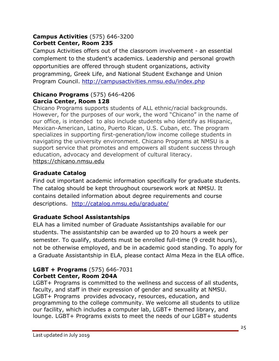#### **Campus Activities** (575) 646-3200 **Corbett Center, Room 235**

Campus Activities offers out of the classroom involvement - an essential complement to the student's academics. Leadership and personal growth opportunities are offered through student organizations, activity programming, Greek Life, and National Student Exchange and Union Program Council. http://campusactivities.nmsu.edu/index.php

#### **Chicano Programs** (575) 646-4206 **Garcia Center, Room 128**

Chicano Programs supports students of ALL ethnic/racial backgrounds. However, for the purposes of our work, the word "Chicano" in the name of our office, is intended to also include students who identify as Hispanic, Mexican-American, Latino, Puerto Rican, U.S. Cuban, etc. The program specializes in supporting first-generation/low income college students in navigating the university environment. Chicano Programs at NMSU is a support service that promotes and empowers all student success through education, advocacy and development of cultural literacy. https://chicano.nmsu.edu

# **Graduate Catalog**

Find out important academic information specifically for graduate students. The catalog should be kept throughout coursework work at NMSU. It contains detailed information about degree requirements and course descriptions. http://catalog.nmsu.edu/graduate/

# **Graduate School Assistantships**

ELA has a limited number of Graduate Assistantships available for our students. The assistantship can be awarded up to 20 hours a week per semester. To qualify, students must be enrolled full-time (9 credit hours), not be otherwise employed, and be in academic good standing. To apply for a Graduate Assistantship in ELA, please contact Alma Meza in the ELA office.

#### **LGBT + Programs** (575) 646-7031 **Corbett Center, Room 204A**

LGBT+ Programs is committed to the wellness and success of all students, faculty, and staff in their expression of gender and sexuality at NMSU. LGBT+ Programs provides advocacy, resources, education, and programming to the college community. We welcome all students to utilize our facility, which includes a computer lab, LGBT+ themed library, and lounge. LGBT+ Programs exists to meet the needs of our LGBT+ students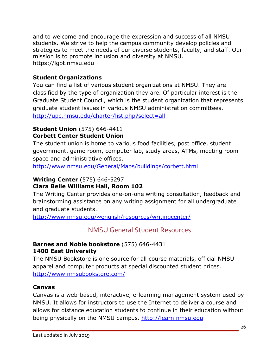and to welcome and encourage the expression and success of all NMSU students. We strive to help the campus community develop policies and strategies to meet the needs of our diverse students, faculty, and staff. Our mission is to promote inclusion and diversity at NMSU. https://lgbt.nmsu.edu

# **Student Organizations**

You can find a list of various student organizations at NMSU. They are classified by the type of organization they are. Of particular interest is the Graduate Student Council, which is the student organization that represents graduate student issues in various NMSU administration committees. http://upc.nmsu.edu/charter/list.php?select=all

#### **Student Union** (575) 646-4411 **Corbett Center Student Union**

The student union is home to various food facilities, post office, student government, game room, computer lab, study areas, ATMs, meeting room space and administrative offices.

http://www.nmsu.edu/General/Maps/buildings/corbett.html

# **Writing Center** (575) 646-5297

#### **Clara Belle Williams Hall, Room 102**

The Writing Center provides one-on-one writing consultation, feedback and brainstorming assistance on any writing assignment for all undergraduate and graduate students.

http://www.nmsu.edu/~english/resources/writingcenter/

# NMSU General Student Resources

#### **Barnes and Noble bookstore** (575) 646-4431 **1400 East University**

The NMSU Bookstore is one source for all course materials, official NMSU apparel and computer products at special discounted student prices. http://www.nmsubookstore.com/

#### **Canvas**

Canvas is a web-based, interactive, e-learning management system used by NMSU. It allows for instructors to use the Internet to deliver a course and allows for distance education students to continue in their education without being physically on the NMSU campus. http://learn.nmsu.edu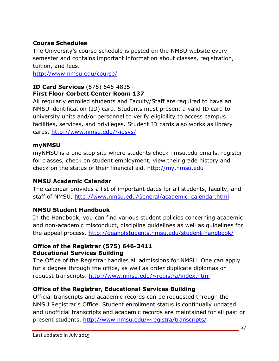# **Course Schedules**

The University's course schedule is posted on the NMSU website every semester and contains important information about classes, registration, tuition, and fees.

http://www.nmsu.edu/course/

# **ID Card Services** (575) 646-4835 **First Floor Corbett Center Room 137**

All regularly enrolled students and Faculty/Staff are required to have an NMSU identification (ID) card. Students must present a valid ID card to university units and/or personnel to verify eligibility to access campus facilities, services, and privileges. Student ID cards also works as library cards. http://www.nmsu.edu/~idsvs/

# **myNMSU**

myNMSU is a one stop site where students check nmsu.edu emails, register for classes, check on student employment, view their grade history and check on the status of their financial aid. http://my.nmsu.edu

# **NMSU Academic Calendar**

The calendar provides a list of important dates for all students, faculty, and staff of NMSU. http://www.nmsu.edu/General/academic\_calendar.html

# **NMSU Student Handbook**

In the Handbook, you can find various student policies concerning academic and non-academic misconduct, discipline guidelines as well as guidelines for the appeal process. http://deanofstudents.nmsu.edu/student-handbook/

# **Office of the Registrar (575) 646-3411 Educational Services Building**

The Office of the Registrar handles all admissions for NMSU. One can apply for a degree through the office, as well as order duplicate diplomas or request transcripts. http://www.nmsu.edu/~registra/index.html

# **Office of the Registrar, Educational Services Building**

Official transcripts and academic records can be requested through the NMSU Registrar's Office. Student enrollment status is continually updated and unofficial transcripts and academic records are maintained for all past or present students. http://www.nmsu.edu/~registra/transcripts/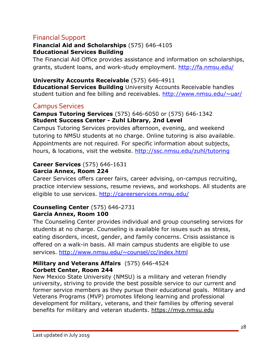# Financial Support

#### **Financial Aid and Scholarships** (575) 646-4105 **Educational Services Building**

The Financial Aid Office provides assistance and information on scholarships, grants, student loans, and work-study employment. http://fa.nmsu.edu/

**University Accounts Receivable** (575) 646-4911 **Educational Services Building** University Accounts Receivable handles student tuition and fee billing and receivables. http://www.nmsu.edu/~uar/

# Campus Services

#### **Campus Tutoring Services** (575) 646-6050 or (575) 646-1342 **Student Success Center - Zuhl Library, 2nd Level**

Campus Tutoring Services provides afternoon, evening, and weekend tutoring to NMSU students at no charge. Online tutoring is also available. Appointments are not required. For specific information about subjects, hours, & locations, visit the website. http://ssc.nmsu.edu/zuhl/tutoring

#### **Career Services** (575) 646-1631 **Garcia Annex, Room 224**

Career Services offers career fairs, career advising, on-campus recruiting, practice interview sessions, resume reviews, and workshops. All students are eligible to use services. http://careerservices.nmsu.edu/

#### **Counseling Center** (575) 646-2731 **Garcia Annex, Room 100**

The Counseling Center provides individual and group counseling services for students at no charge. Counseling is available for issues such as stress, eating disorders, incest, gender, and family concerns. Crisis assistance is offered on a walk-in basis. All main campus students are eligible to use services. http://www.nmsu.edu/~counsel/cc/index.html

#### **Military and Veterans Affairs** (575) 646-4524 **Corbett Center, Room 244**

New Mexico State University (NMSU) is a military and veteran friendly university, striving to provide the best possible service to our current and former service members as they pursue their educational goals. Military and Veterans Programs (MVP) promotes lifelong learning and professional development for military, veterans, and their families by offering several benefits for military and veteran students. https://mvp.nmsu.edu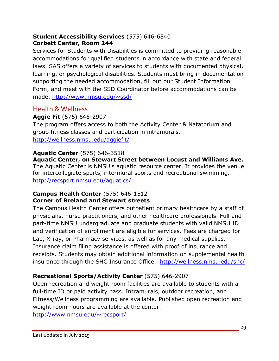#### **Student Accessibility Services** (575) 646-6840 **Corbett Center, Room 244**

Services for Students with Disabilities is committed to providing reasonable accommodations for qualified students in accordance with state and federal laws. SAS offers a variety of services to students with documented physical, learning, or psychological disabilities. Students must bring in documentation supporting the needed accommodation, fill out our Student Information Form, and meet with the SSD Coordinator before accommodations can be made. http://www.nmsu.edu/~ssd/

# Health & Wellness

# **Aggie Fit** (575) 646-2907

The program offers access to both the Activity Center & Natatorium and group fitness classes and participation in intramurals. http://wellness.nmsu.edu/aggiefit/

# **Aquatic Center** (575) 646-3518

**Aquatic Center, on Stewart Street between Locust and Williams Ave.** The Aquatic Center is NMSU's aquatic resource center. It provides the venue for intercollegiate sports, intermural sports and recreational swimming. http://recsport.nmsu.edu/aquatics/

#### **Campus Health Center** (575) 646-1512 **Corner of Breland and Stewart streets**

The Campus Health Center offers outpatient primary healthcare by a staff of physicians, nurse practitioners, and other healthcare professionals. Full and part-time NMSU undergraduate and graduate students with valid NMSU ID and verification of enrollment are eligible for services. Fees are charged for Lab, X-ray, or Pharmacy services, as well as for any medical supplies. Insurance claim filing assistance is offered with proof of insurance and receipts. Students may obtain additional information on supplemental health insurance through the SHC Insurance Office. http://wellness.nmsu.edu/shc/

# **Recreational Sports/Activity Center** (575) 646-2907

Open recreation and weight room facilities are available to students with a full-time ID or paid activity pass. Intramurals, outdoor recreation, and Fitness/Wellness programming are available. Published open recreation and weight room hours are available at the center.

http://www.nmsu.edu/~recsport/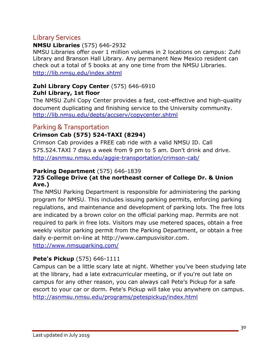# Library Services

#### **NMSU Libraries** (575) 646-2932

NMSU Libraries offer over 1 million volumes in 2 locations on campus: Zuhl Library and Branson Hall Library. Any permanent New Mexico resident can check out a total of 5 books at any one time from the NMSU Libraries. http://lib.nmsu.edu/index.shtml

#### **Zuhl Library Copy Center** (575) 646-6910 **Zuhl Library, 1st floor**

The NMSU Zuhl Copy Center provides a fast, cost-effective and high-quality document duplicating and finishing service to the University community. http://lib.nmsu.edu/depts/accserv/copycenter.shtml

# Parking & Transportation

# **Crimson Cab (575) 524-TAXI (8294)**

Crimson Cab provides a FREE cab ride with a valid NMSU ID. Call 575.524.TAXI 7 days a week from 9 pm to 5 am. Don't drink and drive. http://asnmsu.nmsu.edu/aggie-transportation/crimson-cab/

#### **Parking Department** (575) 646-1839

#### **725 College Drive (at the northeast corner of College Dr. & Union Ave.)**

The NMSU Parking Department is responsible for administering the parking program for NMSU. This includes issuing parking permits, enforcing parking regulations, and maintenance and development of parking lots. The free lots are indicated by a brown color on the official parking map. Permits are not required to park in free lots. Visitors may use metered spaces, obtain a free weekly visitor parking permit from the Parking Department, or obtain a free daily e-permit on-line at http://www.campusvisitor.com.

http://www.nmsuparking.com/

# **Pete's Pickup** (575) 646-1111

Campus can be a little scary late at night. Whether you've been studying late at the library, had a late extracurricular meeting, or if you're out late on campus for any other reason, you can always call Pete's Pickup for a safe escort to your car or dorm. Pete's Pickup will take you anywhere on campus. http://asnmsu.nmsu.edu/programs/petespickup/index.html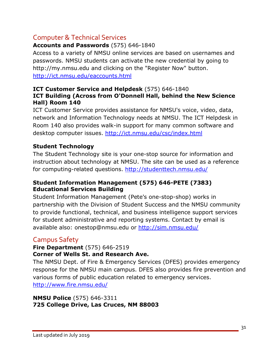# Computer & Technical Services

# **Accounts and Passwords** (575) 646-1840

Access to a variety of NMSU online services are based on usernames and passwords. NMSU students can activate the new credential by going to http://my.nmsu.edu and clicking on the "Register Now" button. http://ict.nmsu.edu/eaccounts.html

#### **ICT Customer Service and Helpdesk** (575) 646-1840 **ICT Building (Across from O'Donnell Hall, behind the New Science Hall) Room 140**

ICT Customer Service provides assistance for NMSU's voice, video, data, network and Information Technology needs at NMSU. The ICT Helpdesk in Room 140 also provides walk-in support for many common software and desktop computer issues. http://ict.nmsu.edu/csc/index.html

# **Student Technology**

The Student Technology site is your one-stop source for information and instruction about technology at NMSU. The site can be used as a reference for computing-related questions. http://studenttech.nmsu.edu/

#### **Student Information Management (575) 646-PETE (7383) Educational Services Building**

Student Information Management (Pete's one-stop-shop) works in partnership with the Division of Student Success and the NMSU community to provide functional, technical, and business intelligence support services for student administrative and reporting systems. Contact by email is available also: onestop@nmsu.edu or http://sim.nmsu.edu/

# Campus Safety

#### **Fire Department** (575) 646-2519 **Corner of Wells St. and Research Ave.**

The NMSU Dept. of Fire & Emergency Services (DFES) provides emergency response for the NMSU main campus. DFES also provides fire prevention and various forms of public education related to emergency services. http://www.fire.nmsu.edu/

#### **NMSU Police** (575) 646-3311 **725 College Drive, Las Cruces, NM 88003**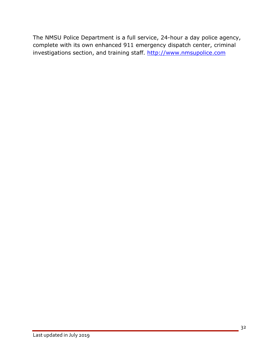The NMSU Police Department is a full service, 24-hour a day police agency, complete with its own enhanced 911 emergency dispatch center, criminal investigations section, and training staff. http://www.nmsupolice.com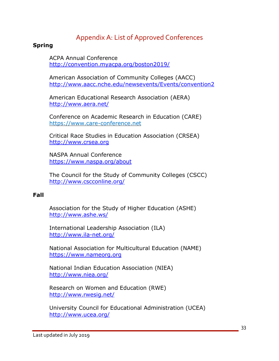# Appendix A: List of Approved Conferences

#### **Spring**

ACPA Annual Conference http://convention.myacpa.org/boston2019/

American Association of Community Colleges (AACC) http://www.aacc.nche.edu/newsevents/Events/convention2

American Educational Research Association (AERA) http://www.aera.net/

Conference on Academic Research in Education (CARE) https://www.care-conference.net

Critical Race Studies in Education Association (CRSEA) http://www.crsea.org

NASPA Annual Conference https://www.naspa.org/about

The Council for the Study of Community Colleges (CSCC) http://www.cscconline.org/

#### **Fall**

Association for the Study of Higher Education (ASHE) http://www.ashe.ws/

International Leadership Association (ILA) http://www.ila-net.org/

National Association for Multicultural Education (NAME) https://www.nameorg.org

National Indian Education Association (NIEA) http://www.niea.org/

Research on Women and Education (RWE) http://www.rwesig.net/

University Council for Educational Administration (UCEA) http://www.ucea.org/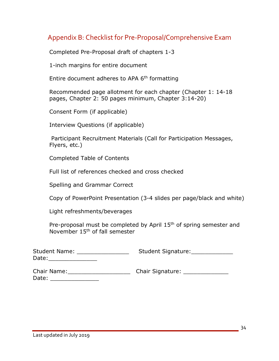# Appendix B: Checklist for Pre-Proposal/Comprehensive Exam

Completed Pre-Proposal draft of chapters 1-3

1-inch margins for entire document

Entire document adheres to APA 6<sup>th</sup> formatting

 Recommended page allotment for each chapter (Chapter 1: 14-18 pages, Chapter 2: 50 pages minimum, Chapter 3:14-20)

Consent Form (if applicable)

Interview Questions (if applicable)

 Participant Recruitment Materials (Call for Participation Messages, Flyers, etc.)

Completed Table of Contents

Full list of references checked and cross checked

Spelling and Grammar Correct

Copy of PowerPoint Presentation (3-4 slides per page/black and white)

Light refreshments/beverages

Pre-proposal must be completed by April 15<sup>th</sup> of spring semester and November 15th of fall semester

| <b>Student Name:</b> | Student Signature: |
|----------------------|--------------------|
| Date:                |                    |
|                      |                    |

| <b>Chair Name:</b> | <b>Chair Signature:</b> |  |  |  |  |
|--------------------|-------------------------|--|--|--|--|
| Date:              |                         |  |  |  |  |